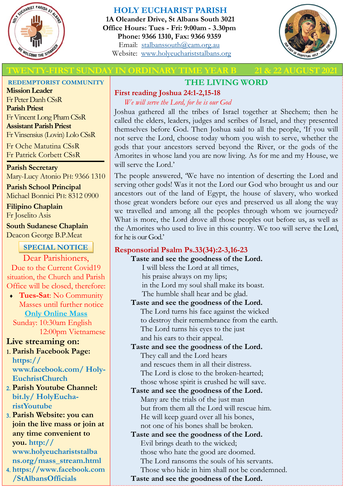

## **HOLY EUCHARIST PARISH**

**1A Oleander Drive, St Albans South 3021 Office Hours: Tues - Fri: 9:00am - 3.30pm Phone: 9366 1310, Fax: 9366 9359** Email: [stalbanssouth@cam.org.au](mailto:stalbanssouth@cam.org.au) Website:[www.holyeuchariststalbans.org](http://www.holyeuchariststalbans.org)



## **THIRST SUNDAY IN ORDINARY TIME YEAR B**

# **THE LIVING WORD**

## **First reading Joshua 24:1-2,15-18**

*We will serve the Lord, for he is our God*

Joshua gathered all the tribes of Israel together at Shechem; then he called the elders, leaders, judges and scribes of Israel, and they presented themselves before God. Then Joshua said to all the people, 'If you will not serve the Lord, choose today whom you wish to serve, whether the gods that your ancestors served beyond the River, or the gods of the Amorites in whose land you are now living. As for me and my House, we will serve the Lord.'

The people answered, 'We have no intention of deserting the Lord and serving other gods! Was it not the Lord our God who brought us and our ancestors out of the land of Egypt, the house of slavery, who worked those great wonders before our eyes and preserved us all along the way we travelled and among all the peoples through whom we journeyed? What is more, the Lord drove all those peoples out before us, as well as the Amorites who used to live in this country. We too will serve the Lord, for he is our God.'

# **Responsorial Psalm Ps.33(34):2-3,16-23**

**Taste and see the goodness of the Lord.** I will bless the Lord at all times, his praise always on my lips;

in the Lord my soul shall make its boast. The humble shall hear and be glad.

# **Taste and see the goodness of the Lord.** The Lord turns his face against the wicked

to destroy their remembrance from the earth. The Lord turns his eyes to the just and his ears to their appeal.

**Taste and see the goodness of the Lord.** They call and the Lord hears and rescues them in all their distress. The Lord is close to the broken-hearted; those whose spirit is crushed he will save.

### **Taste and see the goodness of the Lord.** Many are the trials of the just man but from them all the Lord will rescue him. He will keep guard over all his bones, not one of his bones shall be broken.

**Taste and see the goodness of the Lord.** Evil brings death to the wicked; those who hate the good are doomed. The Lord ransoms the souls of his servants. Those who hide in him shall not be condemned.

**Taste and see the goodness of the Lord.**

**REDEMPTORIST COMMUNITY**

**Mission Leader** Fr Peter Danh CSsR **Parish Priest** Fr Vincent Long Pham CSsR **Assistant Parish Priest**  Fr Vinsensius (Lovin) Lolo CSsR

Fr Oche Matutina CSsR Fr Patrick Corbett CSsR

**Parish Secretary** Mary-Lucy Atonio PH: 9366 1310

**Parish School Principal** Michael Bonnici PH: 8312 0900

**Filipino Chaplain** Fr Joselito Asis

**South Sudanese Chaplain** Deacon George B.P.Meat

# **SPECIAL NOTICE**

Dear Parishioners, Due to the Current Covid19 situation, the Church and Parish Office will be closed, therefore:

 **Tues-Sat**: No Community Masses until further notice **Only Online Mass**  Sunday: 10:30am English

12:00pm Vietnamese

# **Live streaming on:**

- **Parish Facebook Page: https:// www.facebook.com/ Holy-EuchristChurch**
- **Parish Youtube Channel: bit.ly/ HolyEucharistYoutube**
- **Parish Website: you can join the live mass or join at any time convenient to you. http:// www.holyeuchariststalba ns.org/mass\_stream.html**
- **https://www.facebook.com /StAlbansOfficials**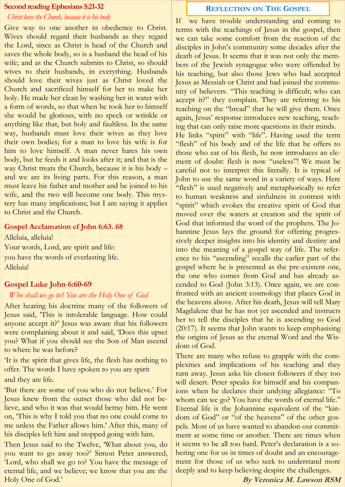#### **Second reading Ephesians 5:21-32**

#### *Christ loves the Church, because it is his body*

Give way to one another in obedience to Christ. Wives should regard their husbands as they regard the Lord, since as Christ is head of the Church and saves the whole body, so is a husband the head of his wife; and as the Church submits to Christ, so should wives to their husbands, in everything. Husbands should love their wives just as Christ loved the Church and sacrificed himself for her to make her holy. He made her clean by washing her in water with a form of words, so that when he took her to himself she would be glorious, with no speck or wrinkle or anything like that, but holy and faultless. In the same way, husbands must love their wives as they love their own bodies; for a man to love his wife is for him to love himself. A man never hates his own body, but he feeds it and looks after it; and that is the way Christ treats the Church, because it is his body – and we are its living parts. For this reason, a man must leave his father and mother and be joined to his wife, and the two will become one body. This mystery has many implications; but I am saying it applies to Christ and the Church.

#### **Gospel Acclamation cf John 6:63. 68**

Alleluia, alleluia! Your words, Lord, are spirit and life: you have the words of everlasting life. Alleluia!

### **Gospel Luke John 6:60-69**

#### *Who shall we go to? You are the Holy One of God*

After hearing his doctrine many of the followers of Jesus said, 'This is intolerable language. How could anyone accept it?' Jesus was aware that his followers were complaining about it and said, 'Does this upset you? What if you should see the Son of Man ascend to where he was before?

'It is the spirit that gives life, the flesh has nothing to offer. The words I have spoken to you are spirit and they are life.

'But there are some of you who do not believe.' For Jesus knew from the outset those who did not believe, and who it was that would betray him. He went on, 'This is why I told you that no one could come to me unless the Father allows him.' After this, many of his disciples left him and stopped going with him.

Then Jesus said to the Twelve, What about you, do you want to go away too?' Simon Peter answered, 'Lord, who shall we go to? You have the message of eternal life, and we believe; we know that you are the Holy One of God.'

### **REFLECTION ON THE GOSPEL**

If we have trouble understanding and coming to terms with the teachings of Jesus in the gospel, then we can take some comfort from the reaction of the disciples in John's community some decades after the death of Jesus. It seems that it was not only the members of the Jewish synagogue who were offended by his teaching, but also those Jews who had accepted Jesus as Messiah or Christ and had joined the community of believers. "This teaching is difficult; who can accept it?" they complain. They are referring to his teaching on the "bread" that he will give them. Once again, Jesus' response introduces new teaching, teaching that can only raise more questions in their minds. He links "spirit" with "life". Having used the term "flesh" of his body and of the life that he offers to those who eat of his flesh, he now introduces an element of doubt: flesh is now "useless"! We must be careful not to interpret this literally. It is typical of John to use the same word in a variety of ways. Here "flesh" is used negatively and metaphorically to refer to human weakness and sinfulness in contrast with "spirit" which evokes the creative spirit of God that moved over the waters at creation and the spirit of God that informed the word of the prophets. The Johannine Jesus lays the ground for offering progressively deeper insights into his identity and destiny and into the meaning of a gospel way of life. The reference to his "ascending" recalls the earlier part of the gospel where he is presented as the pre-existent one, the one who comes from God and has already ascended to God (John 3:13). Once again, we are confronted with an ancient cosmology that places God in the heavens above. After his death, Jesus will tell Mary Magdalene that he has not yet ascended and instructs

her to tell the disciples that he is ascending to God (20:17). It seems that John wants to keep emphasising the origins of Jesus as the eternal Word and the Wisdom of God.

There are many who refuse to grapple with the complexities and implications of his teaching and they turn away. Jesus asks his closest followers if they too will desert. Peter speaks for himself and his companions when he declares their undying allegiance: "To whom can we go? You have the words of eternal life." Eternal life is the Johannine equivalent of the "kindom of God" or "of the heavens" of the other gospels. Most of us have wanted to abandon our commitment at some time or another. There are times when it seems to be all too hard. Peter's declaration is a sobering one for us in times of doubt and an encouragement for those of us who seek to understand more deeply and to keep believing despite the challenges.

**By Veronica M. Lawson RSM**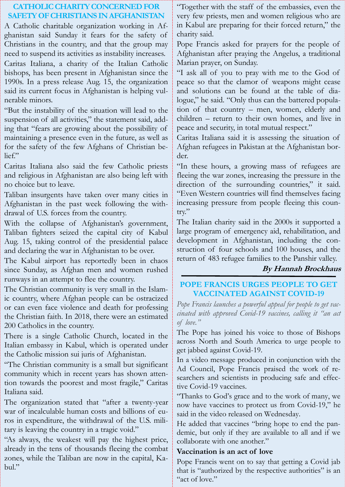## **CATHOLIC CHARITY CONCERNED FOR SAFETY OF CHRISTIANS IN AFGHANISTAN** A Catholic charitable organization working in Af-

ghanistan said Sunday it fears for the safety of Christians in the country, and that the group may need to suspend its activities as instability increases.

Caritas Italiana, a charity of the Italian Catholic bishops, has been present in Afghanistan since the 1990s. In a press release Aug. 15, the organization said its current focus in Afghanistan is helping vulnerable minors.

"But the instability of the situation will lead to the suspension of all activities," the statement said, adding that "fears are growing about the possibility of maintaining a presence even in the future, as well as for the safety of the few Afghans of Christian belief."

Caritas Italiana also said the few Catholic priests and religious in Afghanistan are also being left with no choice but to leave.

Taliban insurgents have taken over many cities in Afghanistan in the past week following the withdrawal of U.S. forces from the country.

With the collapse of Afghanistan's government, Taliban fighters seized the capital city of Kabul Aug. 15, taking control of the presidential palace and declaring the war in Afghanistan to be over.

The Kabul airport has reportedly been in chaos since Sunday, as Afghan men and women rushed runways in an attempt to flee the country.

The Christian community is very small in the Islamic country, where Afghan people can be ostracized or can even face violence and death for professing the Christian faith. In 2018, there were an estimated 200 Catholics in the country.

There is a single Catholic Church, located in the Italian embassy in Kabul, which is operated under the Catholic mission sui juris of Afghanistan.

"The Christian community is a small but significant community which in recent years has shown attention towards the poorest and most fragile," Caritas Italiana said.

The organization stated that "after a twenty-year war of incalculable human costs and billions of euros in expenditure, the withdrawal of the U.S. military is leaving the country in a tragic void."

"As always, the weakest will pay the highest price, already in the tens of thousands fleeing the combat zones, while the Taliban are now in the capital, Kabul."

"Together with the staff of the embassies, even the very few priests, men and women religious who are in Kabul are preparing for their forced return," the charity said.

Pope Francis asked for prayers for the people of Afghanistan after praying the Angelus, a traditional Marian prayer, on Sunday.

"I ask all of you to pray with me to the God of peace so that the clamor of weapons might cease and solutions can be found at the table of dialogue," he said. "Only thus can the battered population of that country – men, women, elderly and children – return to their own homes, and live in peace and security, in total mutual respect."

Caritas Italiana said it is assessing the situation of Afghan refugees in Pakistan at the Afghanistan border.

"In these hours, a growing mass of refugees are fleeing the war zones, increasing the pressure in the direction of the surrounding countries," it said. "Even Western countries will find themselves facing increasing pressure from people fleeing this country."

The Italian charity said in the 2000s it supported a large program of emergency aid, rehabilitation, and development in Afghanistan, including the construction of four schools and 100 houses, and the return of 483 refugee families to the Panshir valley.

# **By Hannah Brockhaus**

# **POPE FRANCIS URGES PEOPLE TO GET VACCINATED AGAINST COVID-19**

*Pope Francis launches a powerful appeal for people to get vaccinated with approved Covid-19 vaccines, calling it "an act of love."*

The Pope has joined his voice to those of Bishops across North and South America to urge people to get jabbed against Covid-19.

In a video message produced in conjunction with the Ad Council, Pope Francis praised the work of researchers and scientists in producing safe and effective Covid-19 vaccines.

"Thanks to God's grace and to the work of many, we now have vaccines to protect us from Covid-19," he said in the video released on Wednesday.

He added that vaccines "bring hope to end the pandemic, but only if they are available to all and if we collaborate with one another."

# **Vaccination is an act of love**

Pope Francis went on to say that getting a Covid jab that is "authorized by the respective authorities" is an "act of love."